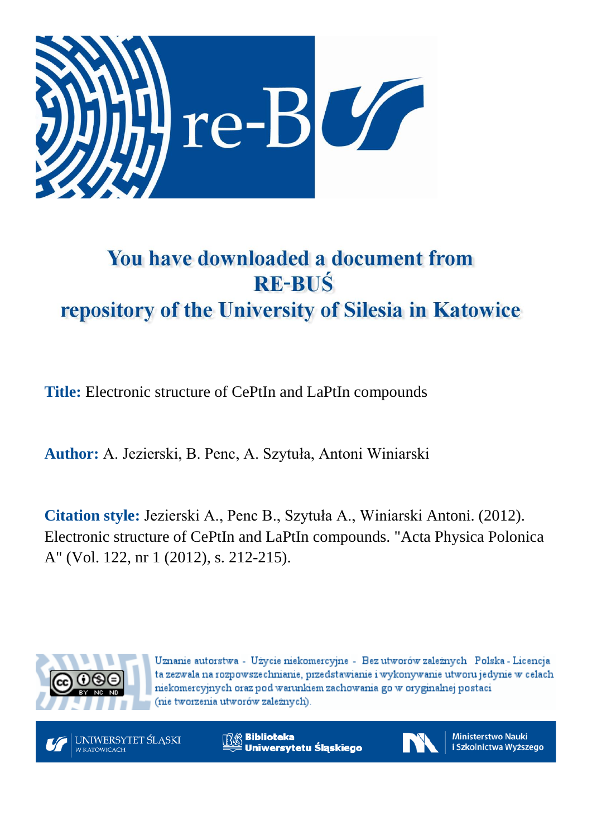

# You have downloaded a document from **RE-BUŚ** repository of the University of Silesia in Katowice

**Title:** Electronic structure of CePtIn and LaPtIn compounds

**Author:** A. Jezierski, B. Penc, A. Szytuła, Antoni Winiarski

**Citation style:** Jezierski A., Penc B., Szytuła A., Winiarski Antoni. (2012). Electronic structure of CePtIn and LaPtIn compounds. "Acta Physica Polonica A" (Vol. 122, nr 1 (2012), s. 212-215).



Uznanie autorstwa - Użycie niekomercyjne - Bez utworów zależnych Polska - Licencja ta zezwala na rozpowszechnianie, przedstawianie i wykonywanie utworu jedynie w celach niekomercyjnych oraz pod warunkiem zachowania go w oryginalnej postaci (nie tworzenia utworów zależnych).



**Biblioteka** Uniwersytetu Śląskiego



**Ministerstwo Nauki** i Szkolnictwa Wyższego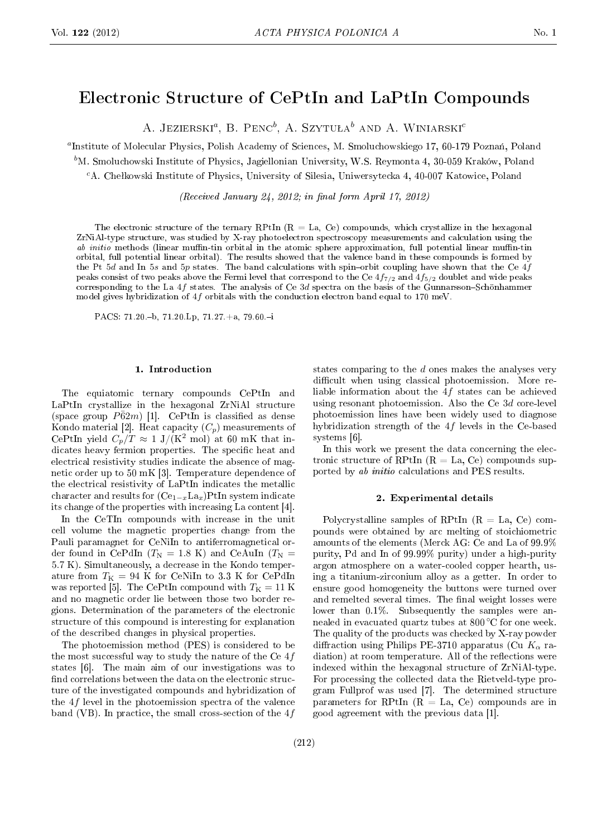# Electronic Structure of CePtIn and LaPtIn Compounds

A. Jezierski*<sup>a</sup>* , B. Penc*<sup>b</sup>* , A. Szytuªa*<sup>b</sup>* and A. Winiarski*<sup>c</sup>*

<sup>a</sup>Institute of Molecular Physics, Polish Academy of Sciences, M. Smoluchowskiego 17, 60-179 Poznań, Poland

*<sup>b</sup>*M. Smoluchowski Institute of Physics, Jagiellonian University, W.S. Reymonta 4, 30-059 Kraków, Poland

<sup>c</sup>A. Chełkowski Institute of Physics, University of Silesia, Uniwersytecka 4, 40-007 Katowice, Poland

(Received January 24, 2012; in final form April 17, 2012)

The electronic structure of the ternary RPtIn  $(R = La, Ce)$  compounds, which crystallize in the hexagonal ZrNiAl-type structure, was studied by X-ray photoelectron spectroscopy measurements and calculation using the ab initio methods (linear muffin-tin orbital in the atomic sphere approximation, full potential linear muffin-tin orbital, full potential linear orbital). The results showed that the valence band in these compounds is formed by the Pt 5*d* and In 5*s* and 5*p* states. The band calculations with spin-orbit coupling have shown that the Ce 4*f* peaks consist of two peaks above the Fermi level that correspond to the Ce 4*f*7*/*<sup>2</sup> and 4*f*5*/*<sup>2</sup> doublet and wide peaks corresponding to the La 4f states. The analysis of Ce 3d spectra on the basis of the Gunnarsson-Schönhammer model gives hybridization of 4*f* orbitals with the conduction electron band equal to 170 meV.

PACS: 71.20.-b, 71.20.Lp, 71.27. $+a$ , 79.60. $-i$ 

#### 1. Introduction

The equiatomic ternary compounds CePtIn and LaPtIn crystallize in the hexagonal ZrNiAl structure (space group  $P\bar{6}2m$ ) [1]. CePtIn is classified as dense Kondo material [2]. Heat capacity  $(C_p)$  measurements of CePtIn yield  $C_p/T \approx 1$  J/(K<sup>2</sup> mol) at 60 mK that indicates heavy fermion properties. The specific heat and electrical resistivity studies indicate the absence of magnetic order up to 50 mK [3]. Temperature dependence of the electrical resistivity of LaPtIn indicates the metallic character and results for (Ce<sup>1</sup>*−<sup>x</sup>*La*x*)PtIn system indicate its change of the properties with increasing La content [4].

In the CeTIn compounds with increase in the unit cell volume the magnetic properties change from the Pauli paramagnet for CeNiIn to antiferromagnetical order found in CePdIn  $(T_N = 1.8 \text{ K})$  and CeAuIn  $(T_N =$ 5*.*7 K). Simultaneously, a decrease in the Kondo temperature from  $T_K = 94$  K for CeNiIn to 3.3 K for CePdIn was reported [5]. The CePtIn compound with  $T<sub>K</sub> = 11$  K and no magnetic order lie between those two border regions. Determination of the parameters of the electronic structure of this compound is interesting for explanation of the described changes in physical properties.

The photoemission method (PES) is considered to be the most successful way to study the nature of the Ce 4*f* states [6]. The main aim of our investigations was to find correlations between the data on the electronic structure of the investigated compounds and hybridization of the 4*f* level in the photoemission spectra of the valence band (VB). In practice, the small cross-section of the 4*f* states comparing to the *d* ones makes the analyses very difficult when using classical photoemission. More reliable information about the 4*f* states can be achieved using resonant photoemission. Also the Ce 3*d* core-level photoemission lines have been widely used to diagnose hybridization strength of the 4*f* levels in the Ce-based systems [6].

In this work we present the data concerning the electronic structure of RPtIn  $(R = La, Ce)$  compounds supported by ab initio calculations and PES results.

# 2. Experimental details

Polycrystalline samples of RPtIn  $(R = La, Ce)$  compounds were obtained by arc melting of stoichiometric amounts of the elements (Merck AG: Ce and La of 99.9% purity, Pd and In of 99.99% purity) under a high-purity argon atmosphere on a water-cooled copper hearth, using a titanium-zirconium alloy as a getter. In order to ensure good homogeneity the buttons were turned over and remelted several times. The final weight losses were lower than  $0.1\%$ . Subsequently the samples were annealed in evacuated quartz tubes at 800 *◦*C for one week. The quality of the products was checked by X-ray powder diffraction using Philips PE-3710 apparatus (Cu  $K_{\alpha}$  radiation) at room temperature. All of the reflections were indexed within the hexagonal structure of ZrNiAl-type. For processing the collected data the Rietveld-type program Fullprof was used [7]. The determined structure parameters for RPtIn  $(R = La, Ce)$  compounds are in good agreement with the previous data [1].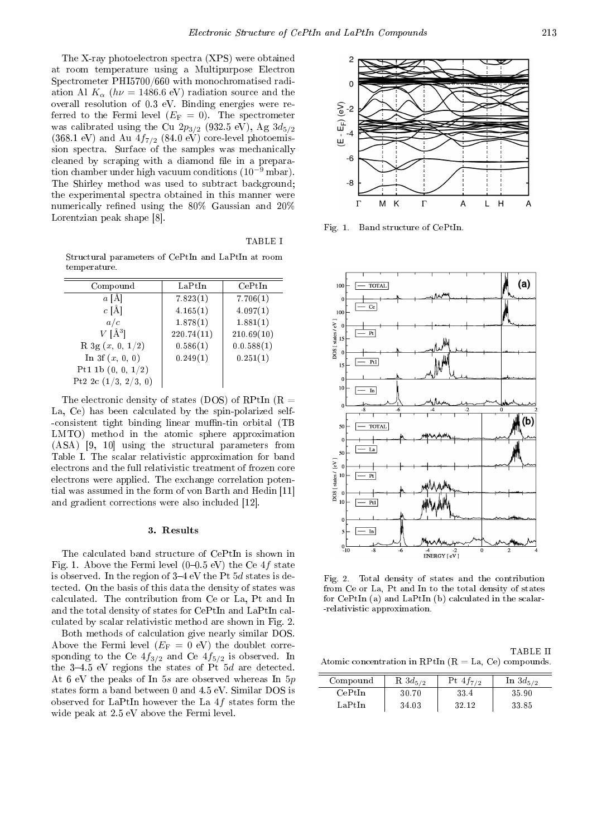The X-ray photoelectron spectra (XPS) were obtained at room temperature using a Multipurpose Electron Spectrometer PHI5700/660 with monochromatised radiation Al  $K_{\alpha}$  ( $h\nu = 1486.6$  eV) radiation source and the overall resolution of 0.3 eV. Binding energies were referred to the Fermi level  $(E_{\mathrm{F}}\,=\,0)$ . The spectrometer was calibrated using the Cu  $2p_{3/2}$  (932.5 eV), Ag  $3d_{5/2}$  $(368.1 \text{ eV})$  and Au  $4f_{7/2}$   $(84.0 \text{ eV})$  core-level photoemission spectra. Surface of the samples was mechanically cleaned by scraping with a diamond file in a preparation chamber under high vacuum conditions (10*−*<sup>9</sup> mbar). The Shirley method was used to subtract background; the experimental spectra obtained in this manner were numerically refined using the  $80\%$  Gaussian and  $20\%$ Lorentzian peak shape [8].

TABLE I

Structural parameters of CePtIn and LaPtIn at room temperature.

| Compound                 | LaPtIn     | CePtIn     |
|--------------------------|------------|------------|
| $a \upharpoonright$ A    | 7.823(1)   | 7.706(1)   |
| $c \hat{A}$              | 4.165(1)   | 4.097(1)   |
| a/c                      | 1.878(1)   | 1.881(1)   |
| $V[\AA^3]$               | 220.74(11) | 210.69(10) |
| $R \, 3g \, (x, 0, 1/2)$ | 0.586(1)   | 0.0.588(1) |
| In 3f $(x, 0, 0)$        | 0.249(1)   | 0.251(1)   |
| Pt1 1b $(0, 0, 1/2)$     |            |            |
| Pt2 2c $(1/3, 2/3, 0)$   |            |            |

The electronic density of states (DOS) of RPtIn (R  $=$ La, Ce) has been calculated by the spin-polarized self- -consistent tight binding linear muffin-tin orbital (TB LMTO) method in the atomic sphere approximation (ASA) [9, 10] using the structural parameters from Table I. The scalar relativistic approximation for band electrons and the full relativistic treatment of frozen core electrons were applied. The exchange correlation potential was assumed in the form of von Barth and Hedin [11] and gradient corrections were also included [12].

#### 3. Results

The calculated band structure of CePtIn is shown in Fig. 1. Above the Fermi level  $(0-0.5 \text{ eV})$  the Ce  $4f$  state is observed. In the region of  $3-4$  eV the Pt  $5d$  states is detected. On the basis of this data the density of states was calculated. The contribution from Ce or La, Pt and In and the total density of states for CePtIn and LaPtIn calculated by scalar relativistic method are shown in Fig. 2.

Both methods of calculation give nearly similar DOS. Above the Fermi level  $(E_F = 0$  eV) the doublet corresponding to the Ce  $4f_{3/2}$  and Ce  $4f_{5/2}$  is observed. In the  $3-4.5$  eV regions the states of Pt  $5d$  are detected. At 6 eV the peaks of In 5*s* are observed whereas In 5*p* states form a band between 0 and 4.5 eV. Similar DOS is observed for LaPtIn however the La 4*f* states form the wide peak at 2.5 eV above the Fermi level.



Fig. 1. Band structure of CePtIn.



Fig. 2. Total density of states and the contribution from Ce or La, Pt and In to the total density of states for CePtIn (a) and LaPtIn (b) calculated in the scalar- -relativistic approximation.

TABLE II Atomic concentration in RPtIn  $(R = La, Ce)$  compounds.

| Compound | $R\,3d_{5/2}$ | Pt $4f_{7/2}$ | In $3d_{5/2}$ |
|----------|---------------|---------------|---------------|
| CePtIn   | 30.70         | 33.4          | 35.90         |
| LaPtIn   | 34.03         | 32.12         | 33.85         |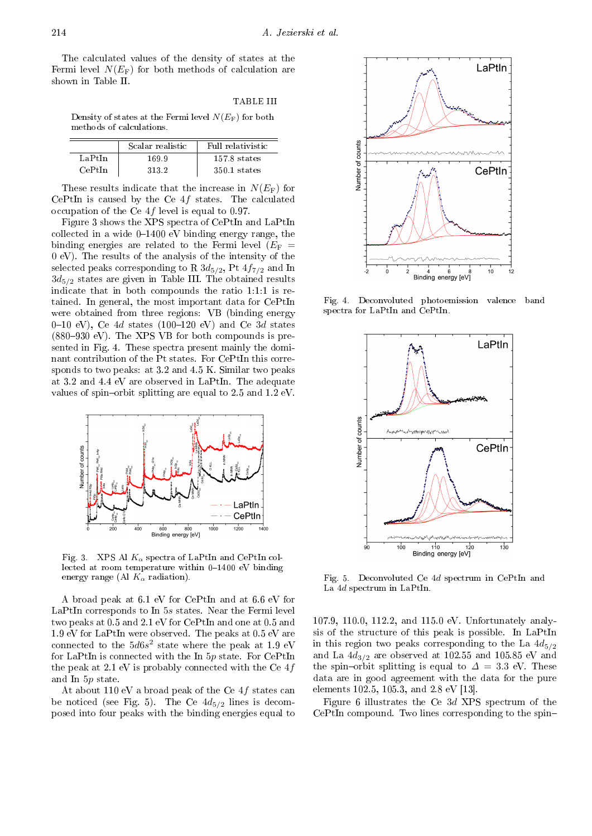The calculated values of the density of states at the Fermi level  $N(E_F)$  for both methods of calculation are shown in Table II.

TABLE III

Density of states at the Fermi level *N*(*E*F) for both methods of calculations.

|         | Scalar realistic | Full relativistic |
|---------|------------------|-------------------|
| LaPtIn  | 169.9            | $157.8$ states    |
| CePt In | 3132             | $350.1$ states    |

These results indicate that the increase in  $N(E_F)$  for CePtIn is caused by the Ce 4*f* states. The calculated occupation of the Ce 4*f* level is equal to 0.97.

Figure 3 shows the XPS spectra of CePtIn and LaPtIn collected in a wide  $0-1400$  eV binding energy range, the binding energies are related to the Fermi level  $(E_F =$ 0 eV). The results of the analysis of the intensity of the selected peaks corresponding to R  $3d_{5/2}$ , Pt  $4f_{7/2}$  and In 3*d*5*/*<sup>2</sup> states are given in Table III. The obtained results indicate that in both compounds the ratio 1:1:1 is retained. In general, the most important data for CePtIn were obtained from three regions: VB (binding energy 0-10 eV), Ce  $4d$  states (100-120 eV) and Ce  $3d$  states  $(880-930 \text{ eV})$ . The XPS VB for both compounds is presented in Fig. 4. These spectra present mainly the dominant contribution of the Pt states. For CePtIn this corresponds to two peaks: at 3.2 and 4.5 K. Similar two peaks at 3.2 and 4.4 eV are observed in LaPtIn. The adequate values of spin-orbit splitting are equal to  $2.5$  and  $1.2$  eV.



Fig. 3. XPS Al *K<sup>α</sup>* spectra of LaPtIn and CePtIn collected at room temperature within  $0-1400$  eV binding energy range (Al *K<sup>α</sup>* radiation).

A broad peak at 6.1 eV for CePtIn and at 6.6 eV for LaPtIn corresponds to In 5*s* states. Near the Fermi level two peaks at 0.5 and 2.1 eV for CePtIn and one at 0.5 and 1.9 eV for LaPtIn were observed. The peaks at 0.5 eV are connected to the  $5d6s^2$  state where the peak at 1.9 eV for LaPtIn is connected with the In 5*p* state. For CePtIn the peak at 2.1 eV is probably connected with the Ce 4*f* and In 5*p* state.

At about 110 eV a broad peak of the Ce 4*f* states can be noticed (see Fig. 5). The Ce  $4d_{5/2}$  lines is decomposed into four peaks with the binding energies equal to



Fig. 4. Deconvoluted photoemission valence band spectra for LaPtIn and CePtIn.



Fig. 5. Deconvoluted Ce 4*d* spectrum in CePtIn and La 4*d* spectrum in LaPtIn.

107.9, 110.0, 112.2, and 115.0 eV. Unfortunately analysis of the structure of this peak is possible. In LaPtIn in this region two peaks corresponding to the La  $4d_{5/2}$ and La  $4d_{3/2}$  are observed at 102.55 and 105.85 eV and the spin-orbit splitting is equal to  $\Delta = 3.3$  eV. These data are in good agreement with the data for the pure elements 102.5, 105.3, and 2.8 eV [13].

Figure 6 illustrates the Ce 3*d* XPS spectrum of the CePtIn compound. Two lines corresponding to the spin